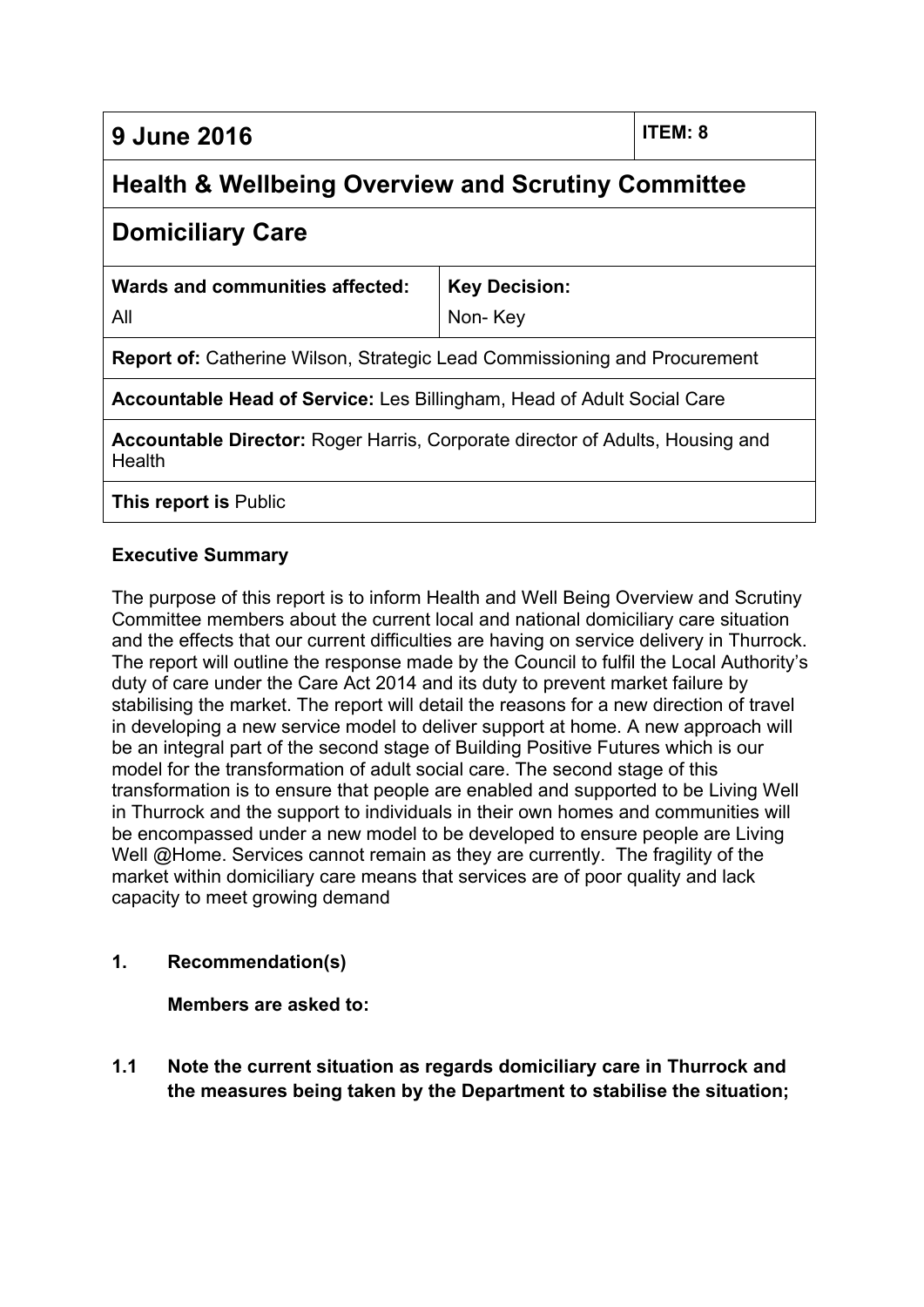**9 June 2016 ITEM: 8**

# **Health & Wellbeing Overview and Scrutiny Committee**

# **Domiciliary Care**

| Wards and communities affected: | Key Decision: |
|---------------------------------|---------------|
| All                             | Non-Key       |

**Report of:** Catherine Wilson, Strategic Lead Commissioning and Procurement

**Accountable Head of Service:** Les Billingham, Head of Adult Social Care

**Accountable Director:** Roger Harris, Corporate director of Adults, Housing and **Health** 

**This report is** Public

# **Executive Summary**

The purpose of this report is to inform Health and Well Being Overview and Scrutiny Committee members about the current local and national domiciliary care situation and the effects that our current difficulties are having on service delivery in Thurrock. The report will outline the response made by the Council to fulfil the Local Authority's duty of care under the Care Act 2014 and its duty to prevent market failure by stabilising the market. The report will detail the reasons for a new direction of travel in developing a new service model to deliver support at home. A new approach will be an integral part of the second stage of Building Positive Futures which is our model for the transformation of adult social care. The second stage of this transformation is to ensure that people are enabled and supported to be Living Well in Thurrock and the support to individuals in their own homes and communities will be encompassed under a new model to be developed to ensure people are Living Well @Home. Services cannot remain as they are currently. The fragility of the market within domiciliary care means that services are of poor quality and lack capacity to meet growing demand

# **1. Recommendation(s)**

**Members are asked to:**

**1.1 Note the current situation as regards domiciliary care in Thurrock and the measures being taken by the Department to stabilise the situation;**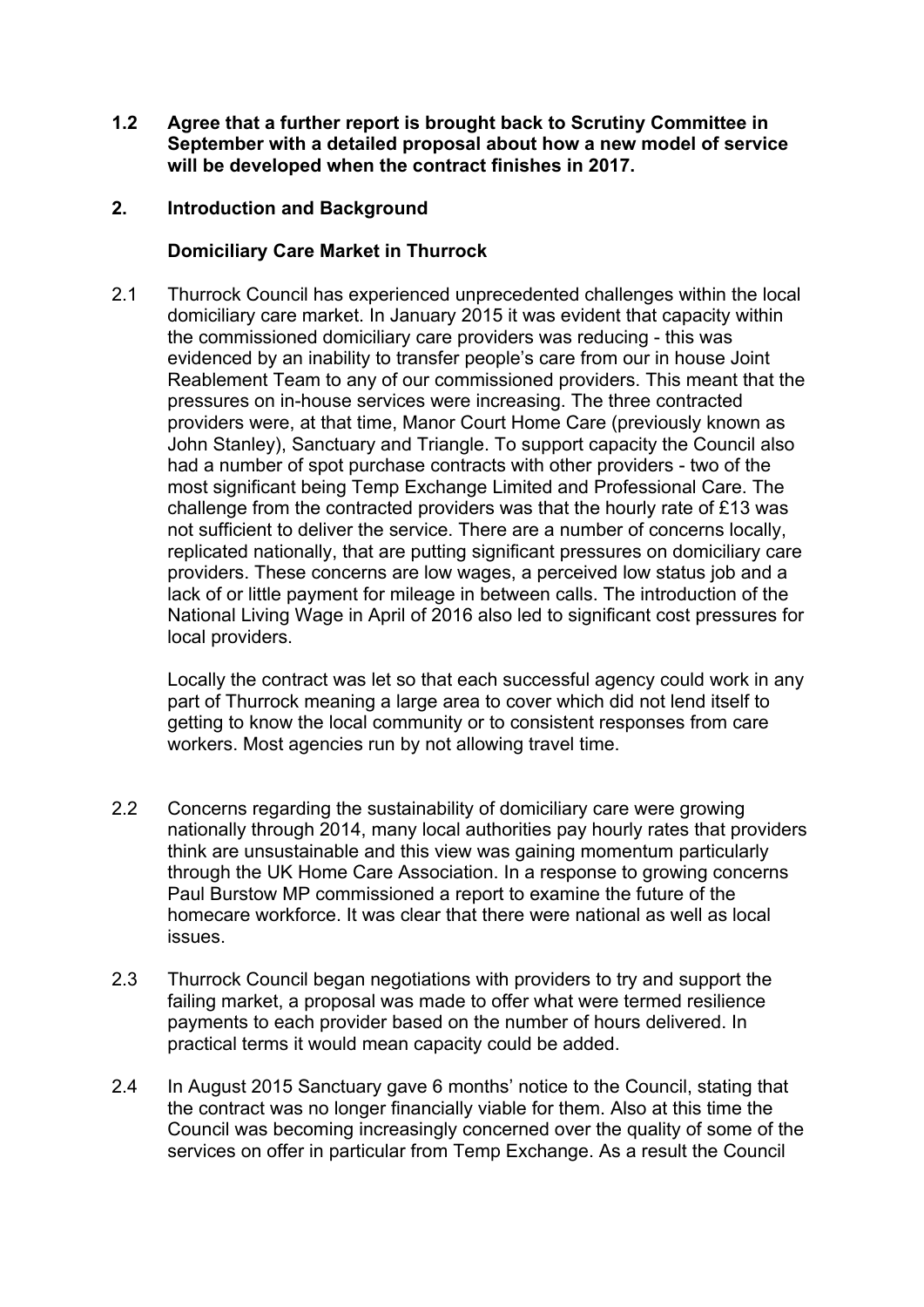**1.2 Agree that a further report is brought back to Scrutiny Committee in September with a detailed proposal about how a new model of service will be developed when the contract finishes in 2017.**

#### **2. Introduction and Background**

## **Domiciliary Care Market in Thurrock**

2.1 Thurrock Council has experienced unprecedented challenges within the local domiciliary care market. In January 2015 it was evident that capacity within the commissioned domiciliary care providers was reducing - this was evidenced by an inability to transfer people's care from our in house Joint Reablement Team to any of our commissioned providers. This meant that the pressures on in-house services were increasing. The three contracted providers were, at that time, Manor Court Home Care (previously known as John Stanley), Sanctuary and Triangle. To support capacity the Council also had a number of spot purchase contracts with other providers - two of the most significant being Temp Exchange Limited and Professional Care. The challenge from the contracted providers was that the hourly rate of £13 was not sufficient to deliver the service. There are a number of concerns locally, replicated nationally, that are putting significant pressures on domiciliary care providers. These concerns are low wages, a perceived low status job and a lack of or little payment for mileage in between calls. The introduction of the National Living Wage in April of 2016 also led to significant cost pressures for local providers.

Locally the contract was let so that each successful agency could work in any part of Thurrock meaning a large area to cover which did not lend itself to getting to know the local community or to consistent responses from care workers. Most agencies run by not allowing travel time.

- 2.2 Concerns regarding the sustainability of domiciliary care were growing nationally through 2014, many local authorities pay hourly rates that providers think are unsustainable and this view was gaining momentum particularly through the UK Home Care Association. In a response to growing concerns Paul Burstow MP commissioned a report to examine the future of the homecare workforce. It was clear that there were national as well as local issues.
- 2.3 Thurrock Council began negotiations with providers to try and support the failing market, a proposal was made to offer what were termed resilience payments to each provider based on the number of hours delivered. In practical terms it would mean capacity could be added.
- 2.4 In August 2015 Sanctuary gave 6 months' notice to the Council, stating that the contract was no longer financially viable for them. Also at this time the Council was becoming increasingly concerned over the quality of some of the services on offer in particular from Temp Exchange. As a result the Council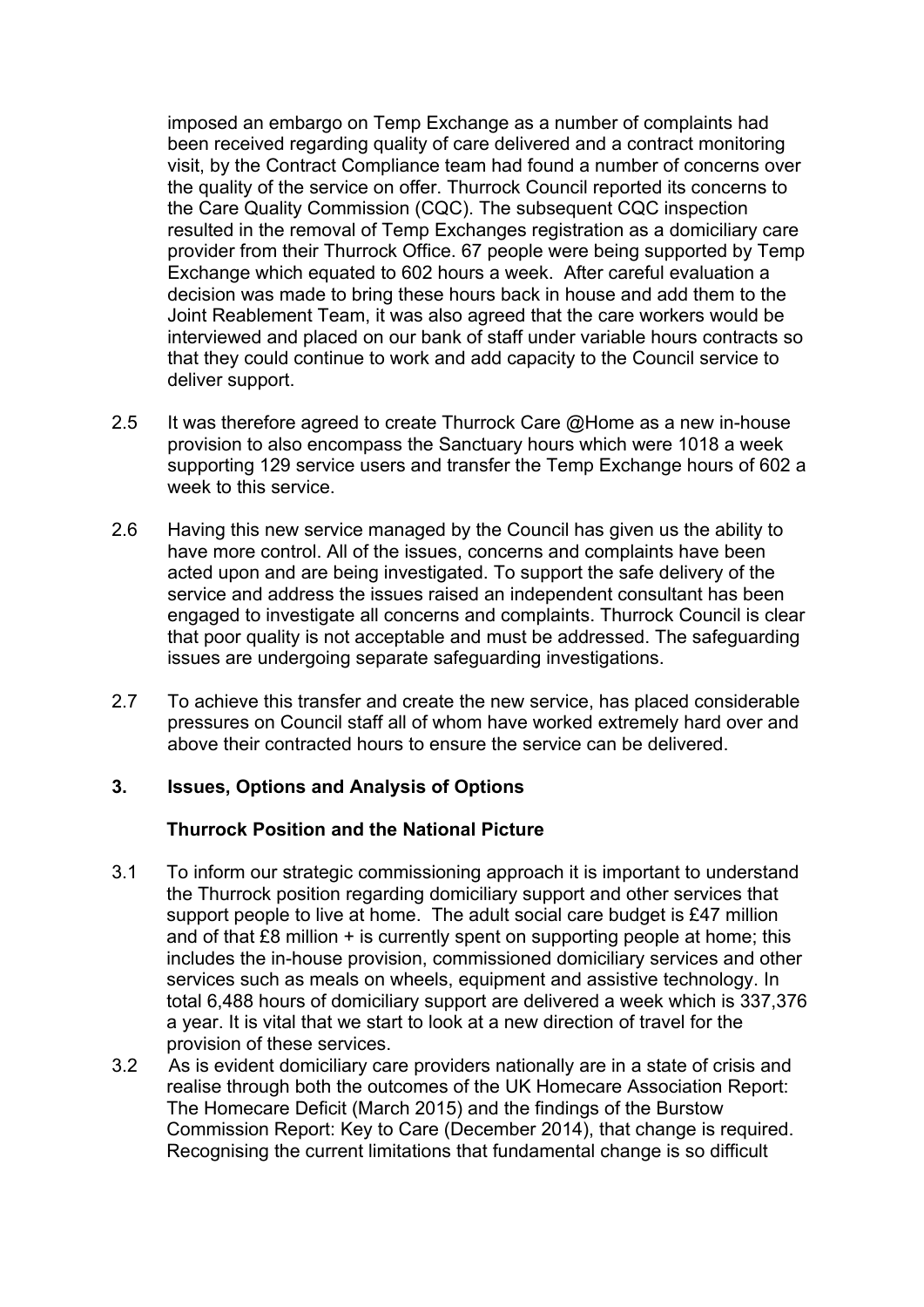imposed an embargo on Temp Exchange as a number of complaints had been received regarding quality of care delivered and a contract monitoring visit, by the Contract Compliance team had found a number of concerns over the quality of the service on offer. Thurrock Council reported its concerns to the Care Quality Commission (CQC). The subsequent CQC inspection resulted in the removal of Temp Exchanges registration as a domiciliary care provider from their Thurrock Office. 67 people were being supported by Temp Exchange which equated to 602 hours a week. After careful evaluation a decision was made to bring these hours back in house and add them to the Joint Reablement Team, it was also agreed that the care workers would be interviewed and placed on our bank of staff under variable hours contracts so that they could continue to work and add capacity to the Council service to deliver support.

- 2.5 It was therefore agreed to create Thurrock Care @Home as a new in-house provision to also encompass the Sanctuary hours which were 1018 a week supporting 129 service users and transfer the Temp Exchange hours of 602 a week to this service.
- 2.6 Having this new service managed by the Council has given us the ability to have more control. All of the issues, concerns and complaints have been acted upon and are being investigated. To support the safe delivery of the service and address the issues raised an independent consultant has been engaged to investigate all concerns and complaints. Thurrock Council is clear that poor quality is not acceptable and must be addressed. The safeguarding issues are undergoing separate safeguarding investigations.
- 2.7 To achieve this transfer and create the new service, has placed considerable pressures on Council staff all of whom have worked extremely hard over and above their contracted hours to ensure the service can be delivered.

#### **3. Issues, Options and Analysis of Options**

#### **Thurrock Position and the National Picture**

- 3.1 To inform our strategic commissioning approach it is important to understand the Thurrock position regarding domiciliary support and other services that support people to live at home. The adult social care budget is £47 million and of that £8 million + is currently spent on supporting people at home; this includes the in-house provision, commissioned domiciliary services and other services such as meals on wheels, equipment and assistive technology. In total 6,488 hours of domiciliary support are delivered a week which is 337,376 a year. It is vital that we start to look at a new direction of travel for the provision of these services.
- 3.2 As is evident domiciliary care providers nationally are in a state of crisis and realise through both the outcomes of the UK Homecare Association Report: The Homecare Deficit (March 2015) and the findings of the Burstow Commission Report: Key to Care (December 2014), that change is required. Recognising the current limitations that fundamental change is so difficult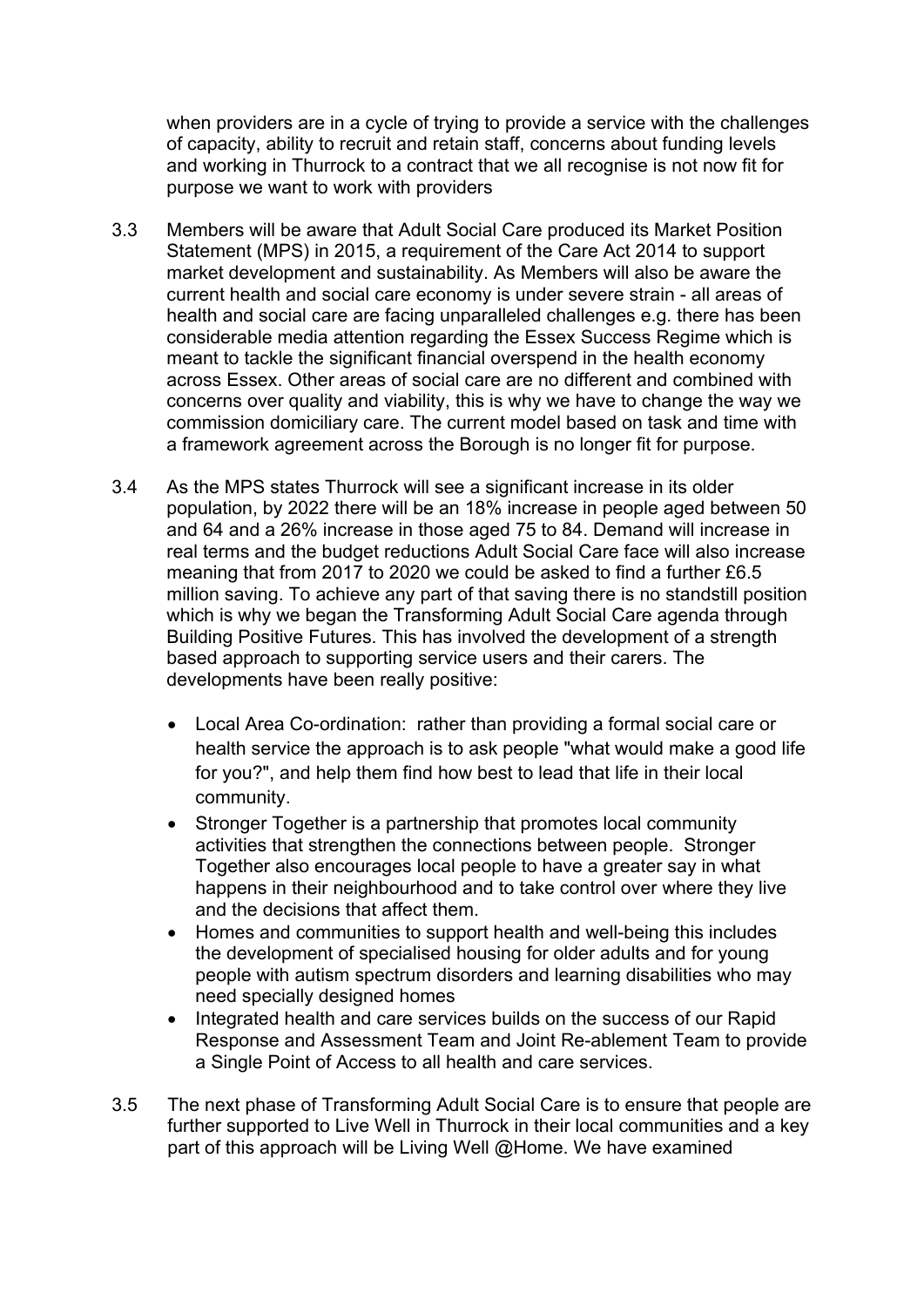when providers are in a cycle of trying to provide a service with the challenges of capacity, ability to recruit and retain staff, concerns about funding levels and working in Thurrock to a contract that we all recognise is not now fit for purpose we want to work with providers

- 3.3 Members will be aware that Adult Social Care produced its Market Position Statement (MPS) in 2015, a requirement of the Care Act 2014 to support market development and sustainability. As Members will also be aware the current health and social care economy is under severe strain - all areas of health and social care are facing unparalleled challenges e.g. there has been considerable media attention regarding the Essex Success Regime which is meant to tackle the significant financial overspend in the health economy across Essex. Other areas of social care are no different and combined with concerns over quality and viability, this is why we have to change the way we commission domiciliary care. The current model based on task and time with a framework agreement across the Borough is no longer fit for purpose.
- 3.4 As the MPS states Thurrock will see a significant increase in its older population, by 2022 there will be an 18% increase in people aged between 50 and 64 and a 26% increase in those aged 75 to 84. Demand will increase in real terms and the budget reductions Adult Social Care face will also increase meaning that from 2017 to 2020 we could be asked to find a further £6.5 million saving. To achieve any part of that saving there is no standstill position which is why we began the Transforming Adult Social Care agenda through Building Positive Futures. This has involved the development of a strength based approach to supporting service users and their carers. The developments have been really positive:
	- Local Area Co-ordination: rather than providing a formal social care or health service the approach is to ask people "what would make a good life for you?", and help them find how best to lead that life in their local community.
	- Stronger Together is a partnership that promotes local community activities that strengthen the connections between people. Stronger Together also encourages local people to have a greater say in what happens in their neighbourhood and to take control over where they live and the decisions that affect them.
	- Homes and communities to support health and well-being this includes the development of specialised housing for older adults and for young people with autism spectrum disorders and learning disabilities who may need specially designed homes
	- Integrated health and care services builds on the success of our Rapid Response and Assessment Team and Joint Re-ablement Team to provide a Single Point of Access to all health and care services.
- 3.5 The next phase of Transforming Adult Social Care is to ensure that people are further supported to Live Well in Thurrock in their local communities and a key part of this approach will be Living Well @Home. We have examined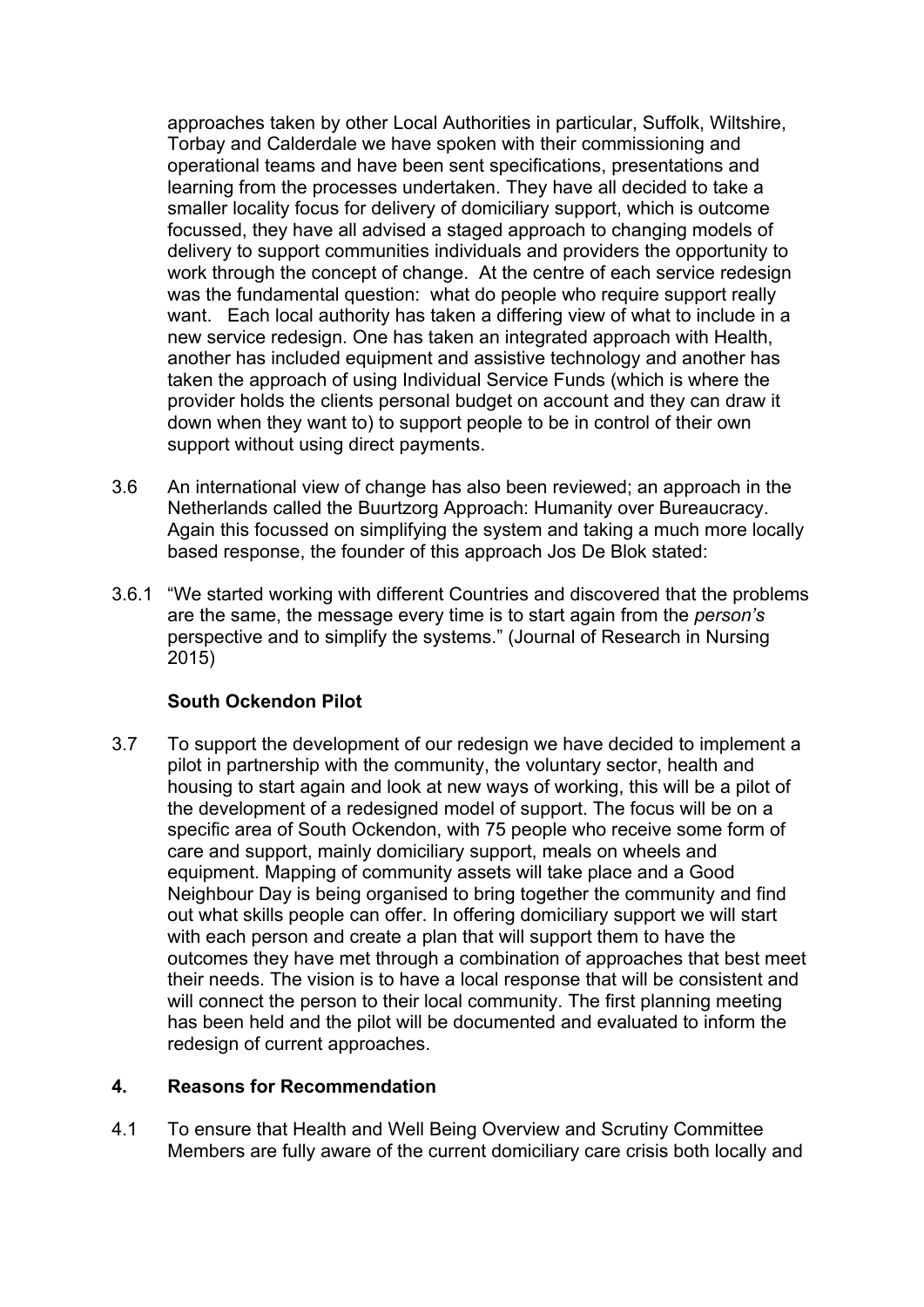approaches taken by other Local Authorities in particular, Suffolk, Wiltshire, Torbay and Calderdale we have spoken with their commissioning and operational teams and have been sent specifications, presentations and learning from the processes undertaken. They have all decided to take a smaller locality focus for delivery of domiciliary support, which is outcome focussed, they have all advised a staged approach to changing models of delivery to support communities individuals and providers the opportunity to work through the concept of change. At the centre of each service redesign was the fundamental question: what do people who require support really want. Each local authority has taken a differing view of what to include in a new service redesign. One has taken an integrated approach with Health, another has included equipment and assistive technology and another has taken the approach of using Individual Service Funds (which is where the provider holds the clients personal budget on account and they can draw it down when they want to) to support people to be in control of their own support without using direct payments.

- 3.6 An international view of change has also been reviewed; an approach in the Netherlands called the Buurtzorg Approach: Humanity over Bureaucracy. Again this focussed on simplifying the system and taking a much more locally based response, the founder of this approach Jos De Blok stated:
- 3.6.1 "We started working with different Countries and discovered that the problems are the same, the message every time is to start again from the *person's* perspective and to simplify the systems." (Journal of Research in Nursing 2015)

# **South Ockendon Pilot**

3.7 To support the development of our redesign we have decided to implement a pilot in partnership with the community, the voluntary sector, health and housing to start again and look at new ways of working, this will be a pilot of the development of a redesigned model of support. The focus will be on a specific area of South Ockendon, with 75 people who receive some form of care and support, mainly domiciliary support, meals on wheels and equipment. Mapping of community assets will take place and a Good Neighbour Day is being organised to bring together the community and find out what skills people can offer. In offering domiciliary support we will start with each person and create a plan that will support them to have the outcomes they have met through a combination of approaches that best meet their needs. The vision is to have a local response that will be consistent and will connect the person to their local community. The first planning meeting has been held and the pilot will be documented and evaluated to inform the redesign of current approaches.

# **4. Reasons for Recommendation**

4.1 To ensure that Health and Well Being Overview and Scrutiny Committee Members are fully aware of the current domiciliary care crisis both locally and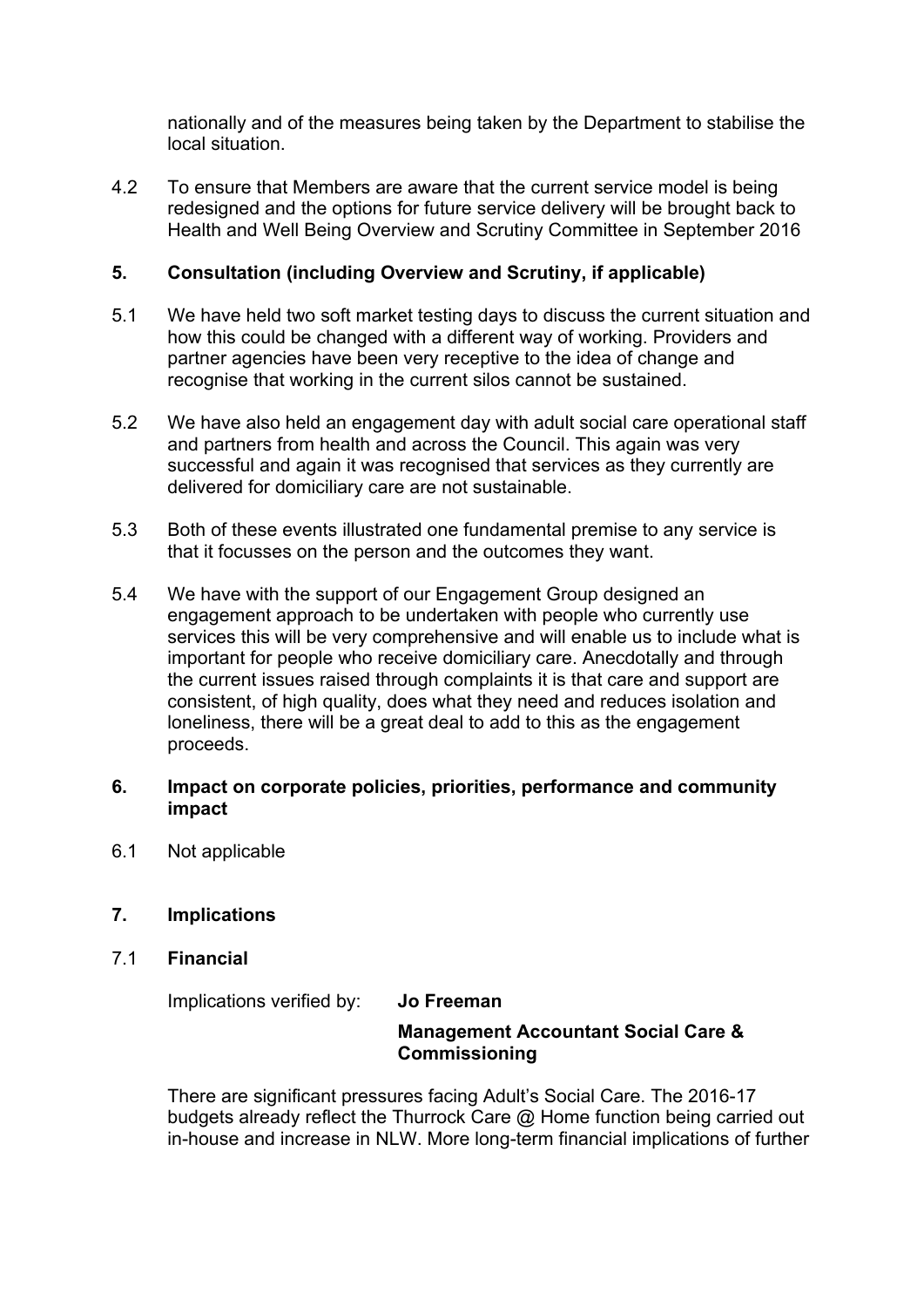nationally and of the measures being taken by the Department to stabilise the local situation.

4.2 To ensure that Members are aware that the current service model is being redesigned and the options for future service delivery will be brought back to Health and Well Being Overview and Scrutiny Committee in September 2016

# **5. Consultation (including Overview and Scrutiny, if applicable)**

- 5.1 We have held two soft market testing days to discuss the current situation and how this could be changed with a different way of working. Providers and partner agencies have been very receptive to the idea of change and recognise that working in the current silos cannot be sustained.
- 5.2 We have also held an engagement day with adult social care operational staff and partners from health and across the Council. This again was very successful and again it was recognised that services as they currently are delivered for domiciliary care are not sustainable.
- 5.3 Both of these events illustrated one fundamental premise to any service is that it focusses on the person and the outcomes they want.
- 5.4 We have with the support of our Engagement Group designed an engagement approach to be undertaken with people who currently use services this will be very comprehensive and will enable us to include what is important for people who receive domiciliary care. Anecdotally and through the current issues raised through complaints it is that care and support are consistent, of high quality, does what they need and reduces isolation and loneliness, there will be a great deal to add to this as the engagement proceeds.

## **6. Impact on corporate policies, priorities, performance and community impact**

- 6.1 Not applicable
- **7. Implications**
- 7.1 **Financial**

Implications verified by: **Jo Freeman**

# **Management Accountant Social Care & Commissioning**

There are significant pressures facing Adult's Social Care. The 2016-17 budgets already reflect the Thurrock Care @ Home function being carried out in-house and increase in NLW. More long-term financial implications of further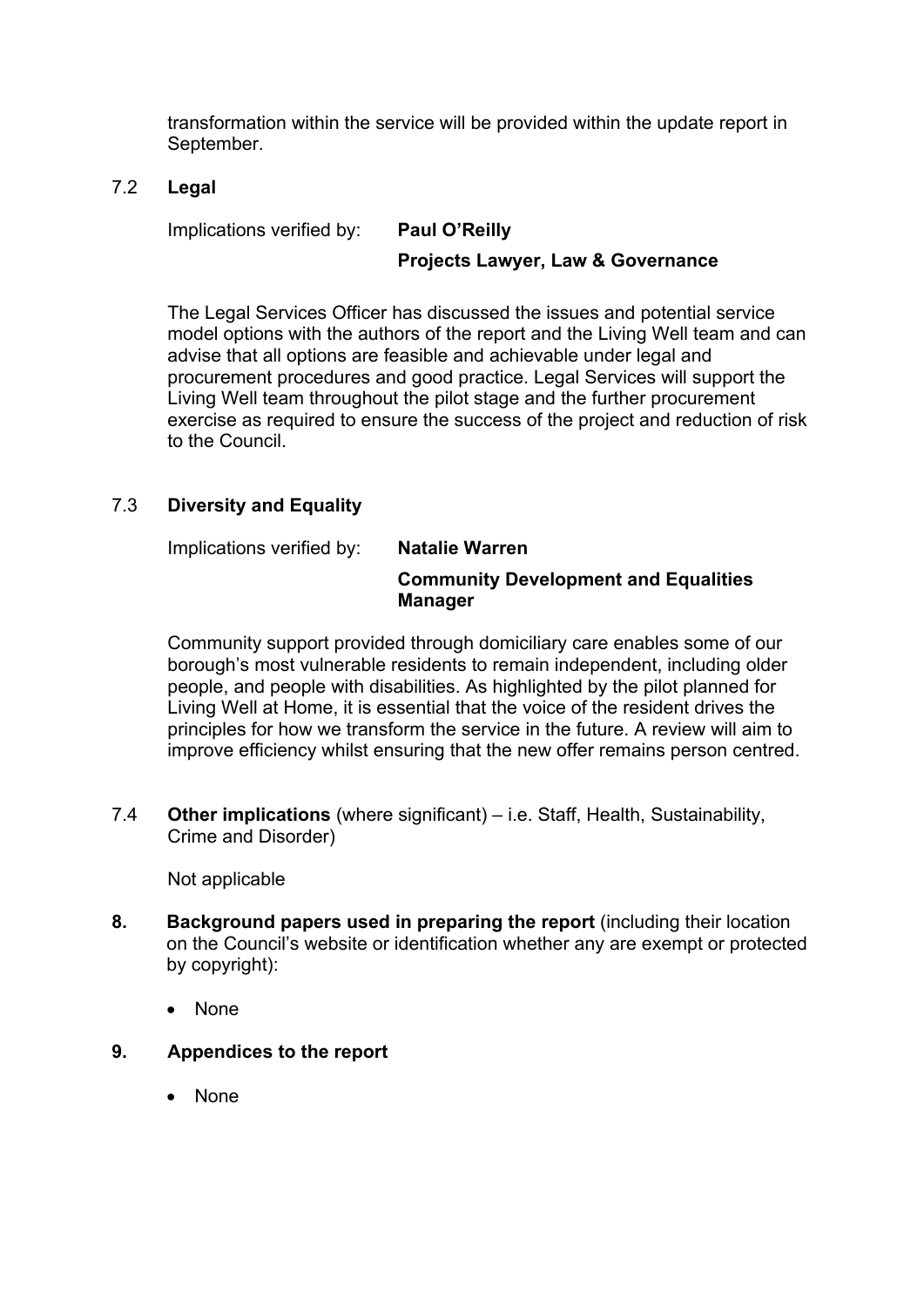transformation within the service will be provided within the update report in September.

#### 7.2 **Legal**

Implications verified by: **Paul O'Reilly**

## **Projects Lawyer, Law & Governance**

The Legal Services Officer has discussed the issues and potential service model options with the authors of the report and the Living Well team and can advise that all options are feasible and achievable under legal and procurement procedures and good practice. Legal Services will support the Living Well team throughout the pilot stage and the further procurement exercise as required to ensure the success of the project and reduction of risk to the Council.

## 7.3 **Diversity and Equality**

Implications verified by: **Natalie Warren**

#### **Community Development and Equalities Manager**

Community support provided through domiciliary care enables some of our borough's most vulnerable residents to remain independent, including older people, and people with disabilities. As highlighted by the pilot planned for Living Well at Home, it is essential that the voice of the resident drives the principles for how we transform the service in the future. A review will aim to improve efficiency whilst ensuring that the new offer remains person centred.

7.4 **Other implications** (where significant) – i.e. Staff, Health, Sustainability, Crime and Disorder)

Not applicable

- **8. Background papers used in preparing the report** (including their location on the Council's website or identification whether any are exempt or protected by copyright):
	- None
- **9. Appendices to the report**
	- None